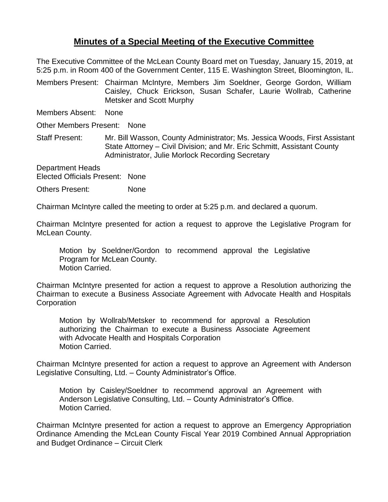## **Minutes of a Special Meeting of the Executive Committee**

The Executive Committee of the McLean County Board met on Tuesday, January 15, 2019, at 5:25 p.m. in Room 400 of the Government Center, 115 E. Washington Street, Bloomington, IL.

Members Present: Chairman McIntyre, Members Jim Soeldner, George Gordon, William Caisley, Chuck Erickson, Susan Schafer, Laurie Wollrab, Catherine Metsker and Scott Murphy

Members Absent: None

Other Members Present: None

Staff Present: Mr. Bill Wasson, County Administrator; Ms. Jessica Woods, First Assistant State Attorney – Civil Division; and Mr. Eric Schmitt, Assistant County Administrator, Julie Morlock Recording Secretary

Department Heads Elected Officials Present: None

Others Present: None

Chairman McIntyre called the meeting to order at 5:25 p.m. and declared a quorum.

Chairman McIntyre presented for action a request to approve the Legislative Program for McLean County.

Motion by Soeldner/Gordon to recommend approval the Legislative Program for McLean County. Motion Carried.

Chairman McIntyre presented for action a request to approve a Resolution authorizing the Chairman to execute a Business Associate Agreement with Advocate Health and Hospitals **Corporation** 

Motion by Wollrab/Metsker to recommend for approval a Resolution authorizing the Chairman to execute a Business Associate Agreement with Advocate Health and Hospitals Corporation Motion Carried.

Chairman McIntyre presented for action a request to approve an Agreement with Anderson Legislative Consulting, Ltd. – County Administrator's Office.

Motion by Caisley/Soeldner to recommend approval an Agreement with Anderson Legislative Consulting, Ltd. – County Administrator's Office. Motion Carried.

Chairman McIntyre presented for action a request to approve an Emergency Appropriation Ordinance Amending the McLean County Fiscal Year 2019 Combined Annual Appropriation and Budget Ordinance – Circuit Clerk